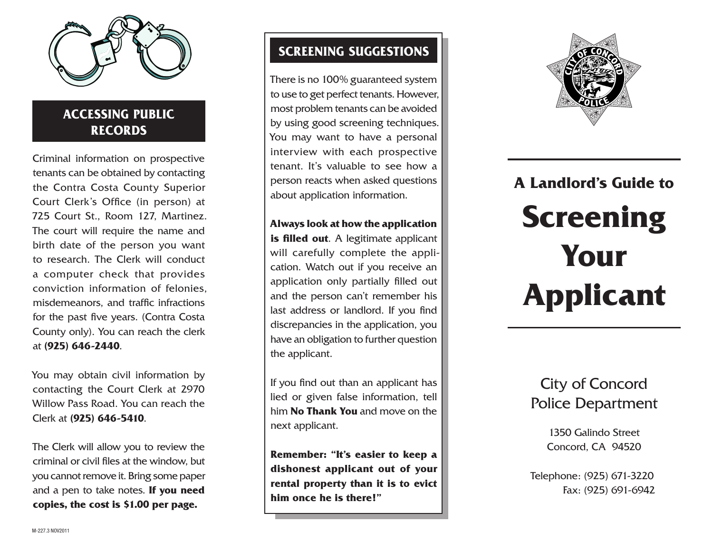

### **Accessin g Pub lic Record s**

Criminal information on prospective tenants can be obtained by contacting the Contra Costa County Superior Court Clerk's Office (in person) at 725 Court St., Room 127, Martinez. The court will require the name and birth date of the person you want to research. The Clerk will conduct a computer check that provides conviction information of felonies, misdemeanors, and traffic infractions for the past five years. (Contra Costa County only). You can reach the clerk at **(925) 646-2440** .

You may obtain civil information by contacting the Court Clerk at 2970 Willow Pass Road. You can reach the Clerk at **(925) 646-5410** .

The Clerk will allow you to review the criminal or civil files at the window, but you cannot remove it. Bring some paper and a pen to take notes. **If you need copies, the cost is \$1.00 per page.**

### **Screenin g Sugg e stion s**

There is no 100% guaranteed system to use to get perfect tenants. However, most problem tenants can be avoided by using good screening techniques. You may want to have a personal interview with each prospective tenant. It's valuable to see how a person reacts when asked questions about application information.

#### **Always look at how the application**

**is filled out.** A legitimate applicant will carefully complete the application. Watch out if you receive an application only partially filled out and the person can't remember his last address or landlord. If you find discrepancies in the application, you have an obligation to further question the applicant.

If you find out than an applicant has lied or given false information, tell him **No Thank You** and move on the next applicant.

**Remember: "It's easier to keep a dishonest applicant out of your rental property than it is to evict him once he is there!"**



## **A Landlord's Guide to Screening Your Applicant**

City of Concord Police Department

> 1350 Galindo Street Concord, CA 94520

Telephone: (925) 671 -3220 Fax: (925) 691 -6942